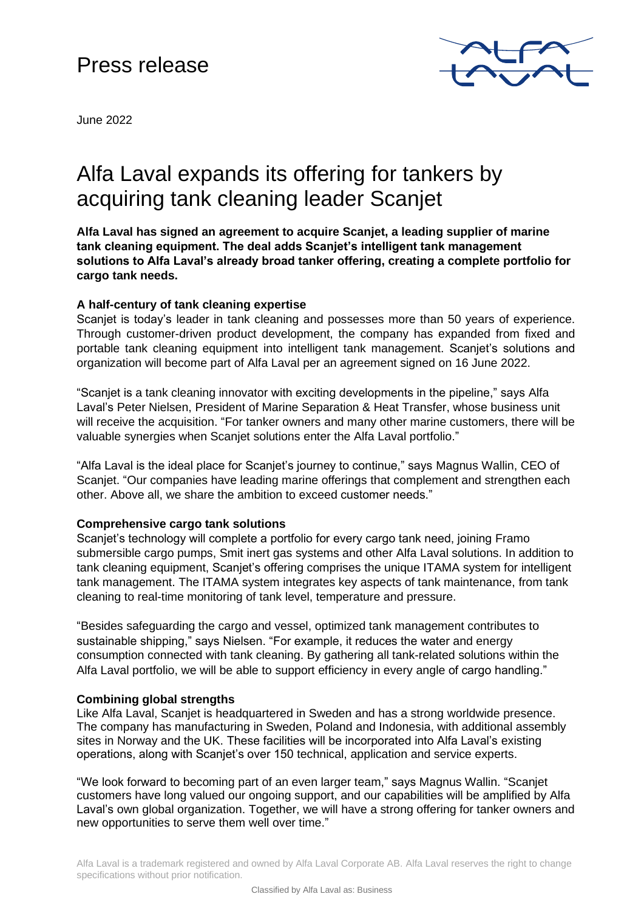## Press release



June 2022

# Alfa Laval expands its offering for tankers by acquiring tank cleaning leader Scanjet

**Alfa Laval has signed an agreement to acquire Scanjet, a leading supplier of marine tank cleaning equipment. The deal adds Scanjet's intelligent tank management solutions to Alfa Laval's already broad tanker offering, creating a complete portfolio for cargo tank needs.**

## **A half-century of tank cleaning expertise**

Scanjet is today's leader in tank cleaning and possesses more than 50 years of experience. Through customer-driven product development, the company has expanded from fixed and portable tank cleaning equipment into intelligent tank management. Scanjet's solutions and organization will become part of Alfa Laval per an agreement signed on 16 June 2022.

"Scanjet is a tank cleaning innovator with exciting developments in the pipeline," says Alfa Laval's Peter Nielsen, President of Marine Separation & Heat Transfer, whose business unit will receive the acquisition. "For tanker owners and many other marine customers, there will be valuable synergies when Scanjet solutions enter the Alfa Laval portfolio."

"Alfa Laval is the ideal place for Scanjet's journey to continue," says Magnus Wallin, CEO of Scanjet. "Our companies have leading marine offerings that complement and strengthen each other. Above all, we share the ambition to exceed customer needs."

## **Comprehensive cargo tank solutions**

Scanjet's technology will complete a portfolio for every cargo tank need, joining Framo submersible cargo pumps, Smit inert gas systems and other Alfa Laval solutions. In addition to tank cleaning equipment, Scanjet's offering comprises the unique ITAMA system for intelligent tank management. The ITAMA system integrates key aspects of tank maintenance, from tank cleaning to real-time monitoring of tank level, temperature and pressure.

"Besides safeguarding the cargo and vessel, optimized tank management contributes to sustainable shipping," says Nielsen. "For example, it reduces the water and energy consumption connected with tank cleaning. By gathering all tank-related solutions within the Alfa Laval portfolio, we will be able to support efficiency in every angle of cargo handling."

## **Combining global strengths**

Like Alfa Laval, Scanjet is headquartered in Sweden and has a strong worldwide presence. The company has manufacturing in Sweden, Poland and Indonesia, with additional assembly sites in Norway and the UK. These facilities will be incorporated into Alfa Laval's existing operations, along with Scanjet's over 150 technical, application and service experts.

"We look forward to becoming part of an even larger team," says Magnus Wallin. "Scanjet customers have long valued our ongoing support, and our capabilities will be amplified by Alfa Laval's own global organization. Together, we will have a strong offering for tanker owners and new opportunities to serve them well over time."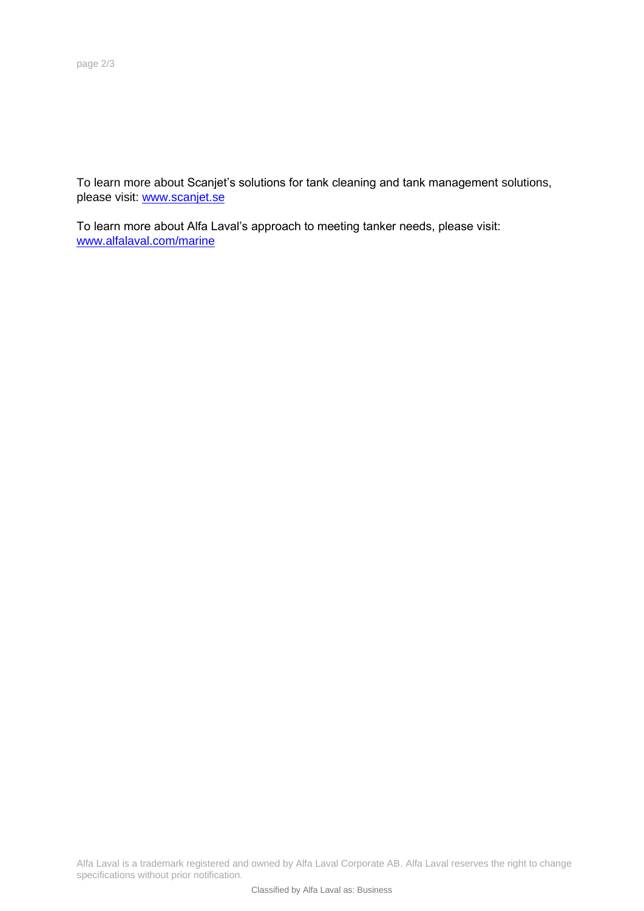To learn more about Scanjet's solutions for tank cleaning and tank management solutions, please visit: [www.scanjet.se](http://www.scanjet.se/)

To learn more about Alfa Laval's approach to meeting tanker needs, please visit: [www.alfalaval.com/marine](http://www.alfalaval.com/marine)

Alfa Laval is a trademark registered and owned by Alfa Laval Corporate AB. Alfa Laval reserves the right to change specifications without prior notification.